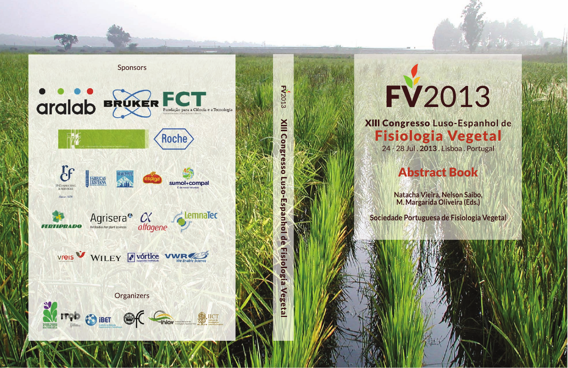

**FV2013 NIII** Cong ō **gia** seta

## FV2013

XIII Congresso Luso-Espanhol de **Fisiologia Vegetal** 24 - 28 Jul. 2013. Lisboa. Portugal

## **Abstract Book**

Natacha Vieira. Nelson Saibo. M. Margarida Oliveira (Eds.)

Sociedade Portuguesa de Fisiologia Vegetal